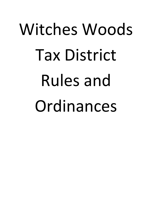# Witches Woods Tax District Rules and Ordinances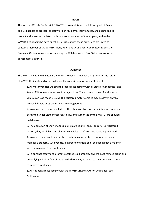### **RULES**

The Witches Woods Tax District ("WWTD") has established the following set of Rules and Ordinances to protect the safety of our Residents, their families, and guests and to protect and preserve the lake, roads, and common areas of the property within the WWTD. Residents who have questions or issues with these provisions are urged to contact a member of the WWTD Safety, Rules and Ordinances Committee. Tax District Rules and Ordinances are enforceable by the Witches Woods Tax District and/or other governmental agencies.

### **A. ROADS**

The WWTD owns and maintains the WWTD Roads in a manner that promotes the safety of WWTD Residents and others who use the roads in support of our Residents.

1. All motor vehicles utilizing the roads must comply with all State of Connecticut and Town of Woodstock motor vehicle regulations. The maximum speed for all motor vehicles on lake roads is 15 MPH. Registered motor vehicles may be driven only by licensed drivers or by drivers with learning permits.

2. No unregistered motor vehicles, other than construction or maintenance vehicles permitted under State motor vehicle law and authorized by the WWTD, are allowed on lake roads.

3. The operation of snow mobiles, dune buggies, mini bikes, go carts, unregistered motorcycles, dirt bikes, and all terrain vehicles (ATV's) on lake roads is prohibited.

4. No more than two (2) unregistered vehicles may be stored out of doors on a member's property. Such vehicle, if in poor condition, shall be kept in such a manner as to be screened from public view.

5. To enhance safety and promote aesthetics all property owners must remove brush and debris lying within 5 feet of the travelled roadway adjacent to their property in order to improve sight lines.

6. All Residents must comply with the WWTD Driveway Apron Ordinance. See Ordinances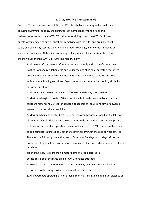### **B. LAKE, BOATING AND SWIMMING**

Purpose: To preserve and protect Witches Woods Lake by preserving water quality and ensuring swimming, boating, and fishing safety. Compliance with the rules and ordinances as set forth by the WWTD is the responsibility of each WWTD, family, and guests. Any member, family, or guest not complying with the rules and ordinances will solely and personally assume the risk of any property damage, injury or death caused by such non-compliance. All boating, swimming, fishing, or use of beaches is at the risk of the individual and the WWTD assumes no responsibility.

1. All watercraft and watercraft operators must comply with State of Connecticut Boating laws and regulations. No one under the age of 14 shall operate a motorized boat without adult supervision onboard. No one shall operate a motorized boat without a safe boating certificate. Boat operators must not be impaired by alcohol or any other substance.

2. All boats must be registered with the WWTD and display WWTD stickers.

3. Maximum length of boats is 18 feet for single hull boats powered by inboard or outboard motors and 21 feet for pontoon boats. Use of Jet Skis and similar powered watercraft on the Lake is prohibited.

4. Maximum horsepower for boats is 75 horsepower. Maximum speed on the lake for all boats is 25 mph. The Cove is a no wake zone with a maximum speed of 5 mph. In addition, no person shall operate a power boat in excess of 5 MPH between the hours of one half before sunset and 9 am the following morning in the case of weekdays, or 10 am on the following day in the case of Saturdays, Sundays or Holidays. Motorized boats operating simultaneously at more than 5 mph shall proceed in a counterclockwise direction

around the lake. No more than 3 motor boats shall be operated in

excess of 5 mph at the same time. (Town Ordinance attached)

5. No more than 1 skier or one tube at one time may be towed behind a boat. All motorized boats towing a skier or tube must have a spotter.

6. All powerboats operating at more than 5 mph must maintain a minimum distance of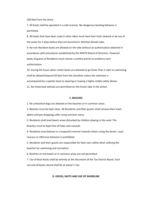100 feet from the shore.

7. All boats shall be operated in a safe manner. No dangerous boating behavior is permitted.

8. All boats that have been used in other lakes must have their hulls cleaned or be out of the water for 3 days before they are launched in Witches Woods Lake.

9. No non-Resident boats are allowed on the lake without an authorization obtained in accordance with procedures established by the WWTD Board of Directors. Powered boats of guests of Residents must receive a written permit to evidence such authorization.

10. During the hours when motor boats are allowed to go faster than 5 mph no swimming shall be allowed beyond 50 feet from the shoreline unless the swimmer is accompanied by a spotter boat or wearing or towing a highly visible safety device. 11. No motorized vehicles are permitted on the frozen lake in the winter.

### **C. BEACHES**

1. No unleashed dogs are allowed on the beaches or in common areas.

2. Beaches must be kept clean. All Residents and their guests shall remove their trash, debris and pet droppings after using common areas.

3. Residents shall level beach areas disturbed by children playing in the sand. The beaches must be kept free of holes and mounds.

4. Residents must behave in a respectful manner towards others using the beach. Loud, raucous or offensive behavior is prohibited.

5. Residents and their guests are responsible for their own safety when utilizing the beaches for swimming and recreation.

6. Bonfires on the beach or in common areas are not permitted.

7. Use of Boat Racks shall be entirely at the discretion of the Tax District Board. Such use and all boats stored shall be at owner's risk.

### **D. DOCKS, RAFTS AND USE OF SHORELINE**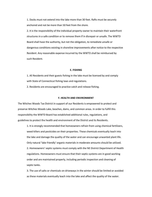1. Docks must not extend into the lake more than 30 feet. Rafts must be securely anchored and not be more than 50 feet from the shore.

2. It is the responsibility of the individual property owner to maintain their waterfront structures in a safe condition or to remove them if in disrepair or unsafe. The WWTD Board shall have the authority, but not the obligation, to remediate unsafe or dangerous conditions existing in shoreline improvements after notice to the respective Resident. Any reasonable expense incurred by the WWTD shall be reimbursed by such Resident.

### **E. FISHING**

1. All Residents and their guests fishing in the lake must be licensed by and comply with State of Connecticut fishing laws and regulations.

2. Residents are encouraged to practice catch and release fishing.

### **F. HEALTH AND ENVIRONMENT**

The Witches Woods Tax District in support of our Residents is empowered to protect and preserve Witches Woods Lake, beaches, dams, and common areas. In order to fulfill this responsibility the WWTD Board has established additional rules, regulations, and guidelines to protect the health and environment of the District and its Residents.

1. It is strongly recommended that homeowners refrain from using chemical fertilizers, weed killers and pesticides on their properties. These chemicals eventually leach into the lake and damage the quality of the water and can encourage unwanted plant life. Only natural 'lake friendly' organic materials in moderate amounts should be utilized. 2. Homeowners' septic systems must comply with the NE District Department of Health regulations. Homeowners must ensure that their septic systems are in good working order and are maintained properly, including periodic inspection and cleaning of septic tanks.

3. The use of salts or chemicals on driveways in the winter should be limited or avoided as these materials eventually leach into the lake and affect the quality of the water.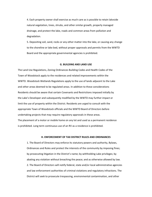4. Each property owner shall exercise as much care as is possible to retain lakeside natural vegetation, trees, shrubs, and other similar growth, properly managed drainage, and protect the lake, roads and common areas from pollution and degradation.

5. Depositing soil, sand, rocks or any other matter into the lake, or causing any change to the shoreline or lake bed, without proper approvals and permits from the WWTD Board and the appropriate governmental agencies is prohibited.

### **G. BUILDING AND LAND USE**

The Land Use Regulations, Zoning Ordinances Building Codes and Health Codes of the Town of Woodstock apply to the residences and related improvements within the WWTD. Woodstock Wetlands Regulations apply to the use of lands adjacent to the Lake and other areas deemed to be regulated areas. In addition to these considerations Residents should be aware that certain Covenants and Restrictions imposed initially by the Lake's Developer and subsequently modified by the WWTD may further impact or limit the use of property within the District. Residents are urged to consult with the appropriate Town of Woodstock officials and the WWTD Board of Directors before undertaking projects that may require regulatory approvals in these areas. The placement of a motor or mobile home on any lot and used as a permanent residence is prohibited. Long term continuous use of an RV as a residence is prohibited.

### **H. ENFORCEMENT OF TAX DISTRICT RULES AND ORDINANCES**

1. The Board of Directors may enforce its statutory powers and authority, Bylaws, Ordinances and Rules and protect the interests of the community by imposing fines; by prosecuting litigation in the District's name; by withholding Lake privileges; by abating any violation without breaching the peace; and as otherwise allowed by law. 2. The Board of Directors will notify federal, state and/or local administrative agencies and law enforcement authorities of criminal violations and regulatory infractions. The District will seek to prosecute trespassing, environmental contamination, and other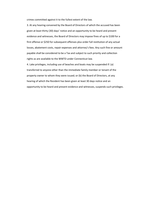crimes committed against it to the fullest extent of the law.

3. At any hearing convened by the Board of Directors of which the accused has been given at least thirty (30) days' notice and an opportunity to be heard and present evidence and witnesses, the Board of Directors may impose fines of up to \$100 for a first offense or \$250 for subsequent offenses plus order full restitution of any actual losses, abatement costs, repair expenses and attorney's fees. Any such fine or amount payable shall be considered to be a Tax and subject to such priority and collection rights as are available to the WWTD under Connecticut law.

4. Lake privileges, including use of beaches and boats may be suspended if: (a) transferred to anyone other than the immediate family member or tenant of the property owner to whom they were issued; or (b) the Board of Directors, at any hearing of which the Resident has been given at least 30 days notice and an opportunity to be heard and present evidence and witnesses, suspends such privileges.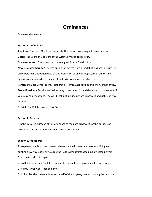# **Ordinances**

### **Driveway Ordinance**

### **Section 1. Definitions:**

**Applicant:** The term "Applicant" refers to the person proposing a driveway apron. **Board:** The Board of Directors of the Witches Woods Tax District. **Driveway Apron:** The access onto or an egress from a District Road. **New Driveway Apron:** An access onto or an egress from a road that was not in existence on or before the adoption date of this ordinance, or an existing access or an existing egress from a road where the use of that driveway apron has changed. **Person:** Includes Corporations, Partnerships, Firms, Associations and or any other entity. **Street/Road:** Any District maintained way constructed for and dedicated to movement of vehicles and pedestrians. The word shall not include private driveways and rights-of-way (R.O.W.).

**District:** The Witches Woods Tax District

### **Section 2. Purpose:**

It is the declared purpose of this ordinance to regulate driveways for the purpose of providing safe and structurally adequate access on roads.

### **Section 3. Procedure:**

1. No person shall construct a new driveway, new driveway apron or modifying an existing driveway leading into a District Road without first obtaining a written permit from the Board, or its agent.

2. No Building Permit(s) will be issued until the applicant has applied for and received a Driveway Apron Construction Permit.

3. A plot plan shall be submitted on behalf of the property owner showing the proposed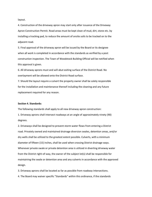layout.

4. Construction of the driveway apron may start only after issuance of the Driveway Apron Construction Permit. Road areas must be kept clean of mud, dirt, stone etc. by installing a tracking pad, to reduce the amount of onsite soils to be tracked on to the adjacent road.

5. Final approval of the driveway apron will be issued by the Board or its designee when all work is completed in accordance with the standards as verified by a post construction inspection. The Town of Woodstock Building Official will be notified when this approval is given.

6. All driveway aprons must and will abut exiting surface of the District Road. No overlayment will be allowed onto the District Road surface.

7. Should the layout require a culvert the property owner shall be solely responsible for the installation and maintenance thereof including the cleaning and any future replacement required for any reason.

### **Section 4. Standards:**

The following standards shall apply to all new driveway apron construction: 1. Driveway aprons shall intersect roadways at an angle of approximately ninety (90) degrees.

2. Driveways shall be designed to prevent storm water flows from entering a District road. Privately owned and maintained drainage diversion swales, detention areas, and/or dry wells shall be utilized to the greatest extent possible. Culverts, with a minimum diameter of fifteen (15) inches, shall be used when crossing District drainage ways. Whenever private swale or private detention area is utilized in diverting driveway water from the District right-of-way, the owner of the subject lot(s) shall be responsible for maintaining the swale or detention area and any culverts in accordance with the approved design.

3. Driveway aprons shall be located as far as possible from roadway intersections.

4. The Board may waiver specific "Standards" within this ordinance, if the standards